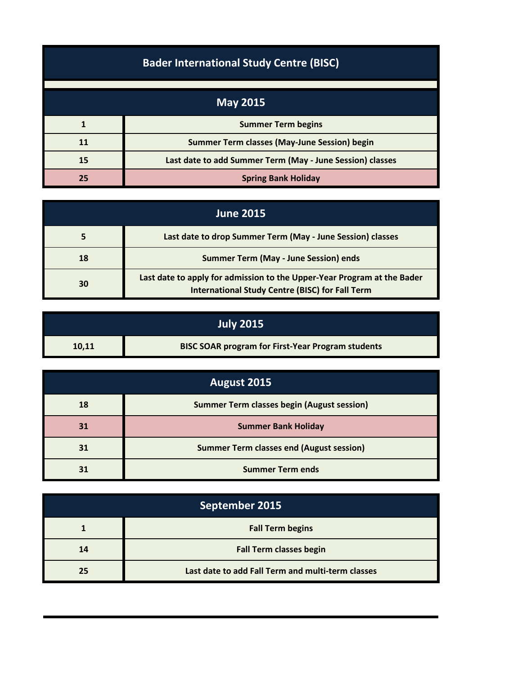| <b>Bader International Study Centre (BISC)</b> |                                                           |
|------------------------------------------------|-----------------------------------------------------------|
|                                                | <b>May 2015</b>                                           |
|                                                | <b>Summer Term begins</b>                                 |
| 11                                             | <b>Summer Term classes (May-June Session) begin</b>       |
| 15                                             | Last date to add Summer Term (May - June Session) classes |
| 25                                             | <b>Spring Bank Holiday</b>                                |

| <b>June 2015</b> |                                                                                                                                   |
|------------------|-----------------------------------------------------------------------------------------------------------------------------------|
|                  | Last date to drop Summer Term (May - June Session) classes                                                                        |
| 18               | <b>Summer Term (May - June Session) ends</b>                                                                                      |
| 30               | Last date to apply for admission to the Upper-Year Program at the Bader<br><b>International Study Centre (BISC) for Fall Term</b> |

|       | <b>July 2015</b>                                         |
|-------|----------------------------------------------------------|
| 10,11 | <b>BISC SOAR program for First-Year Program students</b> |

| August 2015 |                                                   |
|-------------|---------------------------------------------------|
| 18          | <b>Summer Term classes begin (August session)</b> |
| 31          | <b>Summer Bank Holiday</b>                        |
| 31          | <b>Summer Term classes end (August session)</b>   |
| 31          | <b>Summer Term ends</b>                           |

| September 2015 |                                                   |
|----------------|---------------------------------------------------|
|                | <b>Fall Term begins</b>                           |
| 14             | <b>Fall Term classes begin</b>                    |
| 25             | Last date to add Fall Term and multi-term classes |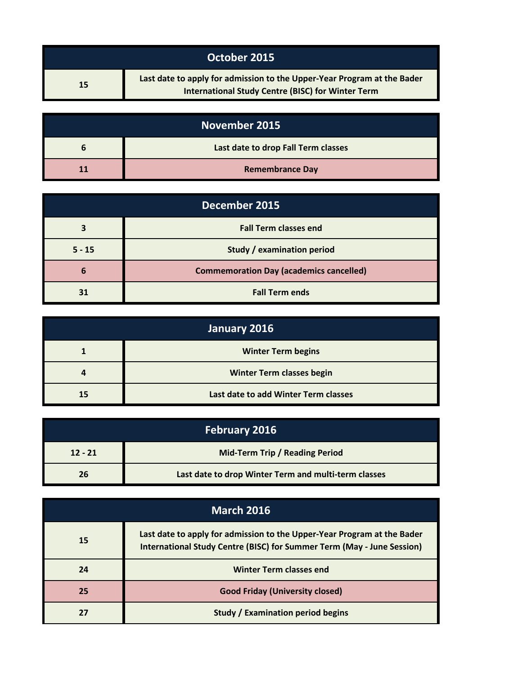|    | October 2015                                                                                                                        |
|----|-------------------------------------------------------------------------------------------------------------------------------------|
| 15 | Last date to apply for admission to the Upper-Year Program at the Bader<br><b>International Study Centre (BISC) for Winter Term</b> |

| November 2015 |                                     |
|---------------|-------------------------------------|
| n             | Last date to drop Fall Term classes |
|               | <b>Remembrance Day</b>              |

| December 2015 |                                                |
|---------------|------------------------------------------------|
|               | <b>Fall Term classes end</b>                   |
| $5 - 15$      | Study / examination period                     |
| 6             | <b>Commemoration Day (academics cancelled)</b> |
|               | <b>Fall Term ends</b>                          |

| January 2016 |                                      |
|--------------|--------------------------------------|
|              | <b>Winter Term begins</b>            |
|              | <b>Winter Term classes begin</b>     |
| 15           | Last date to add Winter Term classes |

| <b>February 2016</b> |                                                      |
|----------------------|------------------------------------------------------|
| $12 - 21$            | <b>Mid-Term Trip / Reading Period</b>                |
| 26                   | Last date to drop Winter Term and multi-term classes |

| <b>March 2016</b> |                                                                                                                                                   |
|-------------------|---------------------------------------------------------------------------------------------------------------------------------------------------|
| 15                | Last date to apply for admission to the Upper-Year Program at the Bader<br>International Study Centre (BISC) for Summer Term (May - June Session) |
| 24                | <b>Winter Term classes end</b>                                                                                                                    |
| 25                | <b>Good Friday (University closed)</b>                                                                                                            |
|                   | <b>Study / Examination period begins</b>                                                                                                          |